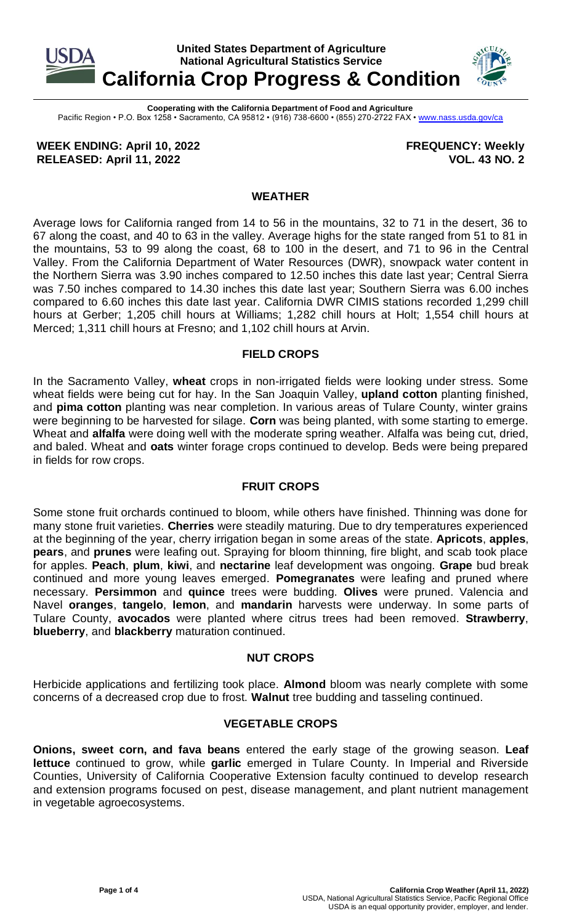

**Cooperating with the California Department of Food and Agriculture** Pacific Region • P.O. Box 1258 • Sacramento, CA 95812 • (916) 738-6600 • (855) 270-2722 FAX [• www.nass.usda.gov/ca](http://www.nass.usda.gov/ca)

**WEEK ENDING: April 10, 2022 RELEASED: April 11, 2022**

**FREQUENCY: Weekly VOL. 43 NO. 2**

## **WEATHER**

Average lows for California ranged from 14 to 56 in the mountains, 32 to 71 in the desert, 36 to 67 along the coast, and 40 to 63 in the valley. Average highs for the state ranged from 51 to 81 in the mountains, 53 to 99 along the coast, 68 to 100 in the desert, and 71 to 96 in the Central Valley. From the California Department of Water Resources (DWR), snowpack water content in the Northern Sierra was 3.90 inches compared to 12.50 inches this date last year; Central Sierra was 7.50 inches compared to 14.30 inches this date last year; Southern Sierra was 6.00 inches compared to 6.60 inches this date last year. California DWR CIMIS stations recorded 1,299 chill hours at Gerber; 1,205 chill hours at Williams; 1,282 chill hours at Holt; 1,554 chill hours at Merced; 1,311 chill hours at Fresno; and 1,102 chill hours at Arvin.

## **FIELD CROPS**

In the Sacramento Valley, **wheat** crops in non-irrigated fields were looking under stress. Some wheat fields were being cut for hay. In the San Joaquin Valley, **upland cotton** planting finished, and **pima cotton** planting was near completion. In various areas of Tulare County, winter grains were beginning to be harvested for silage. **Corn** was being planted, with some starting to emerge. Wheat and **alfalfa** were doing well with the moderate spring weather. Alfalfa was being cut, dried, and baled. Wheat and **oats** winter forage crops continued to develop. Beds were being prepared in fields for row crops.

## **FRUIT CROPS**

Some stone fruit orchards continued to bloom, while others have finished. Thinning was done for many stone fruit varieties. **Cherries** were steadily maturing. Due to dry temperatures experienced at the beginning of the year, cherry irrigation began in some areas of the state. **Apricots**, **apples**, **pears**, and **prunes** were leafing out. Spraying for bloom thinning, fire blight, and scab took place for apples. **Peach**, **plum**, **kiwi**, and **nectarine** leaf development was ongoing. **Grape** bud break continued and more young leaves emerged. **Pomegranates** were leafing and pruned where necessary. **Persimmon** and **quince** trees were budding. **Olives** were pruned. Valencia and Navel **oranges**, **tangelo**, **lemon**, and **mandarin** harvests were underway. In some parts of Tulare County, **avocados** were planted where citrus trees had been removed. **Strawberry**, **blueberry**, and **blackberry** maturation continued.

## **NUT CROPS**

Herbicide applications and fertilizing took place. **Almond** bloom was nearly complete with some concerns of a decreased crop due to frost. **Walnut** tree budding and tasseling continued.

#### **VEGETABLE CROPS**

**Onions, sweet corn, and fava beans** entered the early stage of the growing season. **Leaf lettuce** continued to grow, while **garlic** emerged in Tulare County. In Imperial and Riverside Counties, University of California Cooperative Extension faculty continued to develop research and extension programs focused on pest, disease management, and plant nutrient management in vegetable agroecosystems.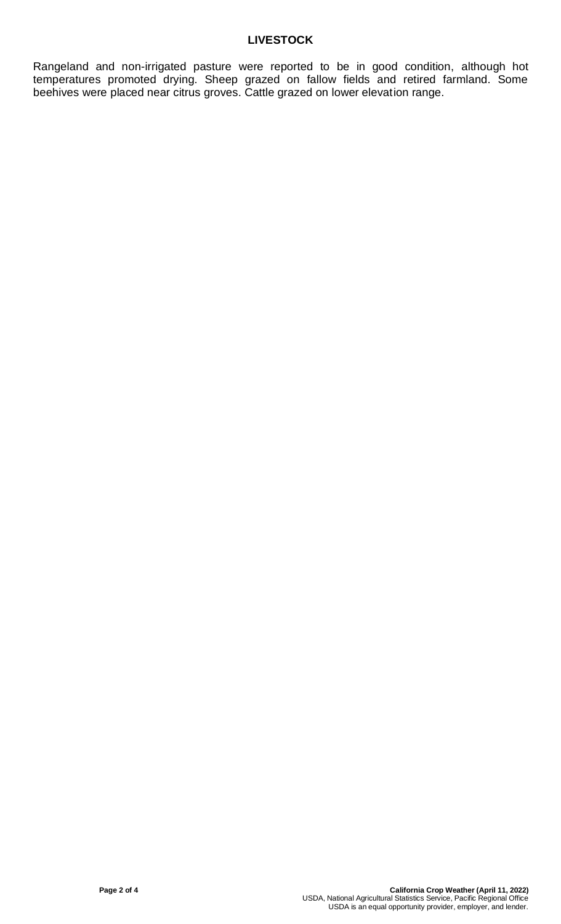# **LIVESTOCK**

Rangeland and non-irrigated pasture were reported to be in good condition, although hot temperatures promoted drying. Sheep grazed on fallow fields and retired farmland. Some beehives were placed near citrus groves. Cattle grazed on lower elevation range.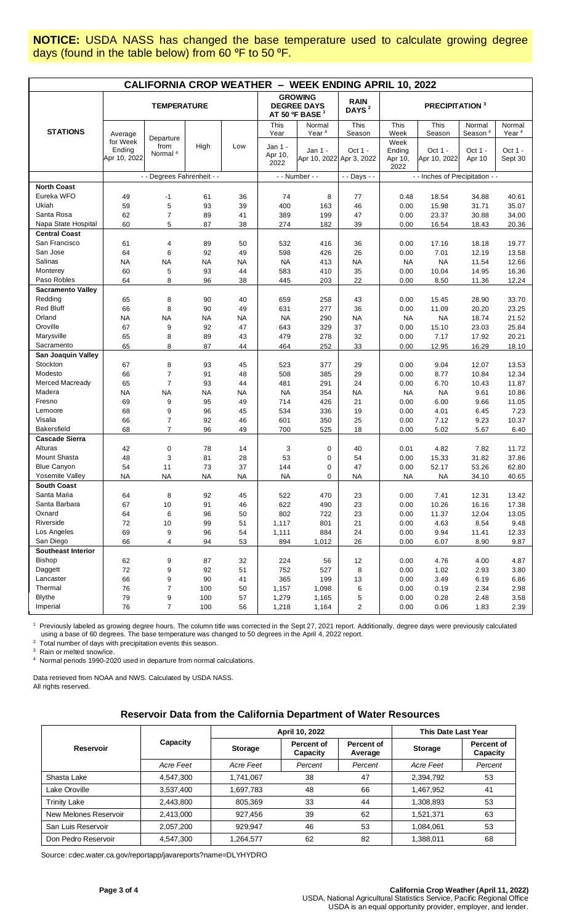**NOTICE:** USDA NASS has changed the base temperature used to calculate growing degree days (found in the table below) from 60 °F to 50 °F.

| <b>CALIFORNIA CROP WEATHER - WEEK ENDING APRIL 10, 2022</b> |                                    |                             |           |           |                                                         |                                     |                                  |                                   |                         |                               |                             |
|-------------------------------------------------------------|------------------------------------|-----------------------------|-----------|-----------|---------------------------------------------------------|-------------------------------------|----------------------------------|-----------------------------------|-------------------------|-------------------------------|-----------------------------|
|                                                             | <b>TEMPERATURE</b>                 |                             |           |           | <b>GROWING</b><br><b>DEGREE DAYS</b><br>AT 50 °F BASE 1 |                                     | <b>RAIN</b><br>DAYS <sup>2</sup> | <b>PRECIPITATION 3</b>            |                         |                               |                             |
| <b>STATIONS</b>                                             | Average                            | Departure                   |           |           | This<br>Year                                            | Normal<br>Year <sup>4</sup>         | This<br>Season                   | This<br>Week                      | This<br>Season          | Normal<br>Season <sup>4</sup> | Normal<br>Year <sup>4</sup> |
|                                                             | for Week<br>Ending<br>Apr 10, 2022 | from<br>Normal <sup>4</sup> | High      | Low       | Jan 1 -<br>Apr 10,<br>2022                              | Jan 1 -<br>Apr 10, 2022 Apr 3, 2022 | Oct $1 -$                        | Week<br>Ending<br>Apr 10,<br>2022 | Oct 1 -<br>Apr 10, 2022 | Oct 1 -<br>Apr 10             | Oct 1 -<br>Sept 30          |
|                                                             |                                    | - - Degrees Fahrenheit - -  |           |           | - - Number - -                                          |                                     | - - Days - -                     | - - Inches of Precipitation - -   |                         |                               |                             |
| <b>North Coast</b>                                          |                                    |                             |           |           |                                                         |                                     |                                  |                                   |                         |                               |                             |
| Eureka WFO                                                  | 49                                 | $-1$                        | 61        | 36        | 74                                                      | 8                                   | 77                               | 0.48                              | 18.54                   | 34.88                         | 40.61                       |
| Ukiah                                                       | 59                                 | 5                           | 93        | 39        | 400                                                     | 163                                 | 46                               | 0.00                              | 15.98                   | 31.71                         | 35.07                       |
| Santa Rosa                                                  | 62                                 | $\overline{7}$              | 89        | 41        | 389                                                     | 199                                 | 47                               | 0.00                              | 23.37                   | 30.88                         | 34.00                       |
| Napa State Hospital                                         | 60                                 | 5                           | 87        | 38        | 274                                                     | 182                                 | 39                               | 0.00                              | 16.54                   | 18.43                         | 20.36                       |
| <b>Central Coast</b>                                        |                                    |                             |           |           |                                                         |                                     |                                  |                                   |                         |                               |                             |
| San Francisco                                               | 61                                 | $\overline{4}$              | 89        | 50        | 532                                                     | 416                                 | 36                               | 0.00                              | 17.16                   | 18.18                         | 19.77                       |
| San Jose                                                    | 64                                 | 6                           | 92        | 49        | 598                                                     | 426                                 | 26                               | 0.00                              | 7.01                    | 12.19                         | 13.58                       |
| Salinas                                                     | <b>NA</b>                          | <b>NA</b>                   | <b>NA</b> | <b>NA</b> | <b>NA</b>                                               | 413                                 | <b>NA</b>                        | <b>NA</b>                         | <b>NA</b>               | 11.54                         | 12.66                       |
| Monterey                                                    | 60                                 | 5                           | 93        | 44        | 583                                                     | 410                                 | 35                               | 0.00                              | 10.04                   | 14.95                         | 16.36                       |
| Paso Robles                                                 | 64                                 | 8                           | 96        | 38        | 445                                                     | 203                                 | 22                               | 0.00                              | 8.50                    | 11.36                         | 12.24                       |
| <b>Sacramento Valley</b>                                    |                                    |                             |           |           |                                                         |                                     |                                  |                                   |                         |                               |                             |
| Redding                                                     | 65                                 | 8                           | 90        | 40        | 659                                                     | 258                                 | 43                               | 0.00                              | 15.45                   | 28.90                         | 33.70                       |
| <b>Red Bluff</b>                                            | 66                                 | 8                           | 90        | 49        | 631                                                     | 277                                 | 36                               | 0.00                              | 11.09                   | 20.20                         | 23.25                       |
| Orland                                                      | <b>NA</b>                          | <b>NA</b>                   | ΝA        | <b>NA</b> | <b>NA</b>                                               | 290                                 | <b>NA</b>                        | <b>NA</b>                         | <b>NA</b>               | 18.74                         | 21.52                       |
| Oroville                                                    | 67                                 | 9                           | 92        | 47        | 643                                                     | 329                                 | 37                               | 0.00                              | 15.10                   | 23.03                         | 25.84                       |
| Marysville                                                  | 65                                 | 8                           | 89        | 43        | 479                                                     | 278                                 | 32                               | 0.00                              | 7.17                    | 17.92                         | 20.21                       |
| Sacramento                                                  | 65                                 | 8                           | 87        | 44        | 464                                                     | 252                                 | 33                               | 0.00                              | 12.95                   | 16.29                         | 18.10                       |
| San Joaquin Valley                                          |                                    |                             |           |           |                                                         |                                     |                                  |                                   |                         |                               |                             |
| Stockton                                                    | 67                                 | 8                           | 93        | 45        | 523                                                     | 377                                 | 29                               | 0.00                              | 9.04                    | 12.07                         | 13.53                       |
| Modesto                                                     | 66                                 | $\overline{7}$              | 91        | 48        | 508                                                     | 385                                 | 29                               | 0.00                              | 8.77                    | 10.84                         | 12.34                       |
| Merced Macready                                             | 65                                 | $\overline{7}$              | 93        | 44        | 481                                                     | 291                                 | 24                               | 0.00                              | 6.70                    | 10.43                         | 11.87                       |
| Madera                                                      | <b>NA</b>                          | <b>NA</b>                   | <b>NA</b> | <b>NA</b> | <b>NA</b>                                               | 354                                 | <b>NA</b>                        | <b>NA</b>                         | <b>NA</b>               | 9.61                          | 10.86                       |
| Fresno                                                      | 69                                 | 9                           | 95        | 49        | 714                                                     | 426                                 | 21                               | 0.00                              | 6.00                    | 9.66                          | 11.05                       |
| Lemoore                                                     | 68                                 | 9                           | 96        | 45        | 534                                                     | 336                                 | 19                               | 0.00                              | 4.01                    | 6.45                          | 7.23                        |
| Visalia                                                     | 66                                 | $\overline{7}$              | 92        | 46        | 601                                                     | 350                                 | 25                               | 0.00                              | 7.12                    | 9.23                          | 10.37                       |
| <b>Bakersfield</b>                                          | 68                                 | $\overline{7}$              | 96        | 49        | 700                                                     | 525                                 | 18                               | 0.00                              | 5.02                    | 5.67                          | 6.40                        |
| <b>Cascade Sierra</b>                                       |                                    |                             |           |           |                                                         |                                     |                                  |                                   |                         |                               |                             |
| Alturas                                                     | 42                                 | 0                           | 78        | 14        | 3                                                       | 0                                   | 40                               | 0.01                              | 4.82                    | 7.82                          | 11.72                       |
| Mount Shasta                                                | 48                                 | 3                           | 81        | 28        | 53                                                      | 0                                   | 54                               | 0.00                              | 15.33                   | 31.82                         | 37.86                       |
| <b>Blue Canyon</b>                                          | 54                                 | 11                          | 73        | 37        | 144                                                     | 0                                   | 47                               | 0.00                              | 52.17                   | 53.26                         | 62.80                       |
| Yosemite Valley                                             | <b>NA</b>                          | <b>NA</b>                   | <b>NA</b> | NA        | <b>NA</b>                                               | 0                                   | <b>NA</b>                        | <b>NA</b>                         | <b>NA</b>               | 34.10                         | 40.65                       |
| <b>South Coast</b>                                          |                                    |                             |           |           |                                                         |                                     |                                  |                                   |                         |                               |                             |
| Santa Maria                                                 | 64                                 | 8                           | 92        | 45        | 522                                                     | 470                                 | 23                               | 0.00                              | 7.41                    | 12.31                         | 13.42                       |
| Santa Barbara                                               | 67                                 | $10$                        | 91        | 46        | 622                                                     | 490                                 | 23                               | 0.00                              | 10.26                   | 16.16                         | 17.38                       |
| Oxnard                                                      | 64                                 | 6                           | 96        | 50        | 802                                                     | 722                                 | 23                               | 0.00                              | 11.37                   | 12.04                         | 13.05                       |
| Riverside                                                   | 72                                 | 10                          | 99        | 51        | 1,117                                                   | 801                                 | 21                               | 0.00                              | 4.63                    | 8.54                          | 9.48                        |
| Los Angeles                                                 | 69                                 | 9                           | 96        | 54        | 1,111                                                   | 884                                 | 24                               | 0.00                              | 9.94                    | 11.41                         | 12.33                       |
| San Diego                                                   | 66                                 | 4                           | 94        | 53        | 894                                                     | 1,012                               | 26                               | 0.00                              | 6.07                    | 8.90                          | 9.87                        |
| Southeast Interior                                          |                                    |                             |           |           |                                                         |                                     |                                  |                                   |                         |                               |                             |
| Bishop                                                      | 62                                 | 9                           | 87        | 32        | 224                                                     | 56                                  | 12                               | 0.00                              | 4.76                    | 4.00                          | 4.87                        |
| Daggett                                                     | 72                                 | 9                           | 92        | 51        | 752                                                     | 527                                 | 8                                | 0.00                              | 1.02                    | 2.93                          | 3.80                        |
| Lancaster                                                   | 66                                 | 9                           | 90        | 41        | 365                                                     | 199                                 | 13                               | 0.00                              | 3.49                    | 6.19                          | 6.86                        |
| Thermal                                                     | 76                                 | $\overline{7}$              | 100       | 50        | 1,157                                                   | 1,098                               | 6                                | 0.00                              | 0.19                    | 2.34                          | 2.98                        |
| <b>Blythe</b>                                               | 79                                 | 9                           | 100       | 57        | 1,279                                                   | 1,165                               | 5                                | 0.00                              | 0.28                    | 2.48                          | 3.58                        |
| Imperial                                                    | 76                                 | $\overline{7}$              | 100       | 56        | 1,218                                                   | 1,164                               | $\overline{c}$                   | 0.00                              | 0.06                    | 1.83                          | 2.39                        |

<sup>1</sup> Previously labeled as growing degree hours. The column title was corrected in the Sept 27, 2021 report. Additionally, degree days were previously calculated using a base of 60 degrees. The base temperature was changed to 50 degrees in the April 4, 2022 report.

<sup>2</sup> Total number of days with precipitation events this season.

3 Rain or melted snow/ice.

4 Normal periods 1990-2020 used in departure from normal calculations.

Data retrieved from NOAA and NWS. Calculated by USDA NASS. All rights reserved.

#### **Reservoir Data from the California Department of Water Resources**

|                       |           |                | April 10, 2022         | <b>This Date Last Year</b> |                |                               |
|-----------------------|-----------|----------------|------------------------|----------------------------|----------------|-------------------------------|
| <b>Reservoir</b>      | Capacity  | <b>Storage</b> | Percent of<br>Capacity | Percent of<br>Average      | <b>Storage</b> | <b>Percent of</b><br>Capacity |
|                       | Acre Feet | Acre Feet      | Percent                | Percent                    | Acre Feet      | Percent                       |
| Shasta Lake           | 4,547,300 | 1,741,067      | 38                     | 47                         | 2,394,792      | 53                            |
| Lake Oroville         | 3,537,400 | 1,697,783      | 48                     | 66                         | 1,467,952      | 41                            |
| <b>Trinity Lake</b>   | 2,443,800 | 805.369        | 33                     | 44                         | 1,308,893      | 53                            |
| New Melones Reservoir | 2,413,000 | 927,456        | 39                     | 62                         | 1,521,371      | 63                            |
| San Luis Reservoir    | 2,057,200 | 929.947        | 46                     | 53                         | 1,084,061      | 53                            |
| Don Pedro Reservoir   | 4,547,300 | 1,264,577      | 62                     | 82                         | 1,388,011      | 68                            |

Source[: cdec.water.ca.gov/reportapp/javareports?name=DLYHYDRO](https://cdec.water.ca.gov/reportapp/javareports?name=DLYHYDRO)